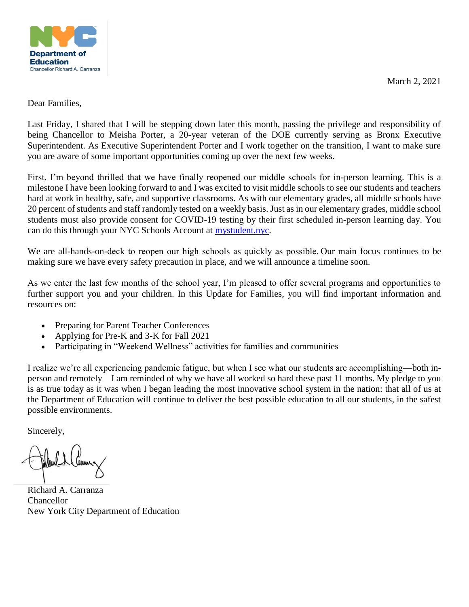March 2, 2021



#### Dear Families,

Last Friday, I shared that I will be stepping down later this month, passing the privilege and responsibility of being Chancellor to Meisha Porter, a 20-year veteran of the DOE currently serving as Bronx Executive Superintendent. As Executive Superintendent Porter and I work together on the transition, I want to make sure you are aware of some important opportunities coming up over the next few weeks.

First, I'm beyond thrilled that we have finally reopened our middle schools for in-person learning. This is a milestone I have been looking forward to and I was excited to visit middle schools to see our students and teachers hard at work in healthy, safe, and supportive classrooms. As with our elementary grades, all middle schools have 20 percent of students and staff randomly tested on a weekly basis. Just as in our elementary grades, middle school students must also provide consent for COVID-19 testing by their first scheduled in-person learning day. You can do this through your NYC Schools Account at [mystudent.nyc.](http://mystudent.nyc/)

We are all-hands-on-deck to reopen our high schools as quickly as possible. Our main focus continues to be making sure we have every safety precaution in place, and we will announce a timeline soon.

As we enter the last few months of the school year, I'm pleased to offer several programs and opportunities to further support you and your children. In this Update for Families, you will find important information and resources on:

- Preparing for Parent Teacher Conferences
- Applying for Pre-K and 3-K for Fall 2021
- Participating in "Weekend Wellness" activities for families and communities

I realize we're all experiencing pandemic fatigue, but when I see what our students are accomplishing—both inperson and remotely—I am reminded of why we have all worked so hard these past 11 months. My pledge to you is as true today as it was when I began leading the most innovative school system in the nation: that all of us at the Department of Education will continue to deliver the best possible education to all our students, in the safest possible environments.

Sincerely,

Richard A. Carranza Chancellor New York City Department of Education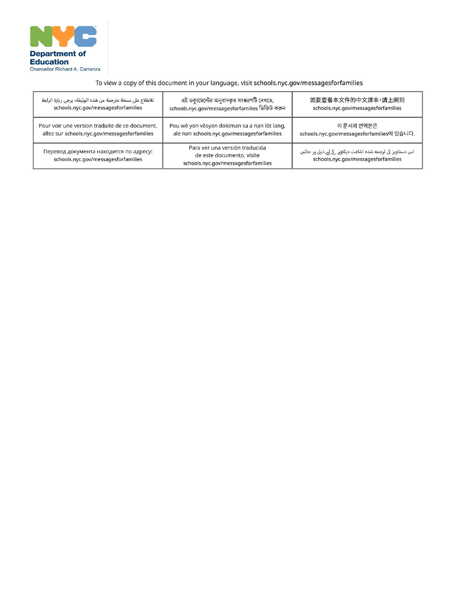

### To view a copy of this document in your language, visit schools.nyc.gov/messagesforfamilies

| للاطلاع على نسخة مترجمة من هذه الوثيقة، يرجى زيارة الرابط                     | এই ডক্যুমেন্টের অনুবাদকৃত সংস্করণটি দেখতে,                                                         | 如要查看本文件的中文譯本,請上網到                                                                               |
|-------------------------------------------------------------------------------|----------------------------------------------------------------------------------------------------|-------------------------------------------------------------------------------------------------|
| schools.nyc.gov/messagesforfamilies                                           | schools.nyc.gov/messagesforfamilies ভিজিট করুন                                                     | schools.nyc.gov/messagesforfamilies                                                             |
| Pour voir une version traduite de ce document,                                | Pou wè yon vèsyon dokiman sa a nan lòt lang,                                                       | 이 문서의 번역본은                                                                                      |
| allez sur schools.nyc.gov/messagesforfamilies                                 | ale nan schools.nyc.gov/messagesforfamilies                                                        | schools.nyc.gov/messagesforfamilies에 있습니다.                                                      |
| Перевод документа находится по адресу:<br>schools.nyc.gov/messagesforfamilies | Para ver una versión traducida<br>de este documento, visite<br>schools.nyc.gov/messagesforfamilies | اس دستاویز کی ترجمه شده اشاعت دیکھنے کے لیے ذیل پر جائیں<br>schools.nyc.gov/messagesforfamilies |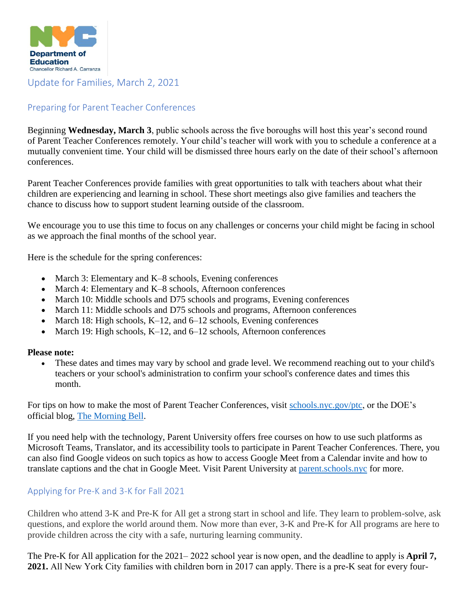

# Update for Families, March 2, 2021

# Preparing for Parent Teacher Conferences

Beginning **Wednesday, March 3**, public schools across the five boroughs will host this year's second round of Parent Teacher Conferences remotely. Your child's teacher will work with you to schedule a conference at a mutually convenient time. Your child will be dismissed three hours early on the date of their school's afternoon conferences.

Parent Teacher Conferences provide families with great opportunities to talk with teachers about what their children are experiencing and learning in school. These short meetings also give families and teachers the chance to discuss how to support student learning outside of the classroom.

We encourage you to use this time to focus on any challenges or concerns your child might be facing in school as we approach the final months of the school year.

Here is the schedule for the spring conferences:

- March 3: Elementary and K–8 schools, Evening conferences
- March 4: Elementary and K–8 schools, Afternoon conferences
- March 10: Middle schools and D75 schools and programs, Evening conferences
- March 11: Middle schools and D75 schools and programs, Afternoon conferences
- March 18: High schools, K-12, and  $6-12$  schools, Evening conferences
- March 19: High schools, K-12, and 6-12 schools, Afternoon conferences

#### **Please note:**

 These dates and times may vary by school and grade level. We recommend reaching out to your child's teachers or your school's administration to confirm your school's conference dates and times this month.

For tips on how to make the most of Parent Teacher Conferences, visit [schools.nyc.gov/ptc,](https://www.schools.nyc.gov/get-involved/families/parent-teacher-conferences) or the DOE's official blog, [The Morning Bell.](https://morningbellnyc.com/2021/spring-for-march-2021s-parent-teacher-conferences/)

If you need help with the technology, Parent University offers free courses on how to use such platforms as Microsoft Teams, Translator, and its accessibility tools to participate in Parent Teacher Conferences. There, you can also find Google videos on such topics as how to access Google Meet from a Calendar invite and how to translate captions and the chat in Google Meet. Visit Parent University at [parent.schools.nyc](https://parentu.schools.nyc/) for more.

## Applying for Pre-K and 3-K for Fall 2021

Children who attend 3-K and Pre-K for All get a strong start in school and life. They learn to problem-solve, ask questions, and explore the world around them. Now more than ever, 3-K and Pre-K for All programs are here to provide children across the city with a safe, nurturing learning community.

The Pre-K for All application for the 2021– 2022 school year is now open, and the deadline to apply is **April 7, 2021.** All New York City families with children born in 2017 can apply. There is a pre-K seat for every four-